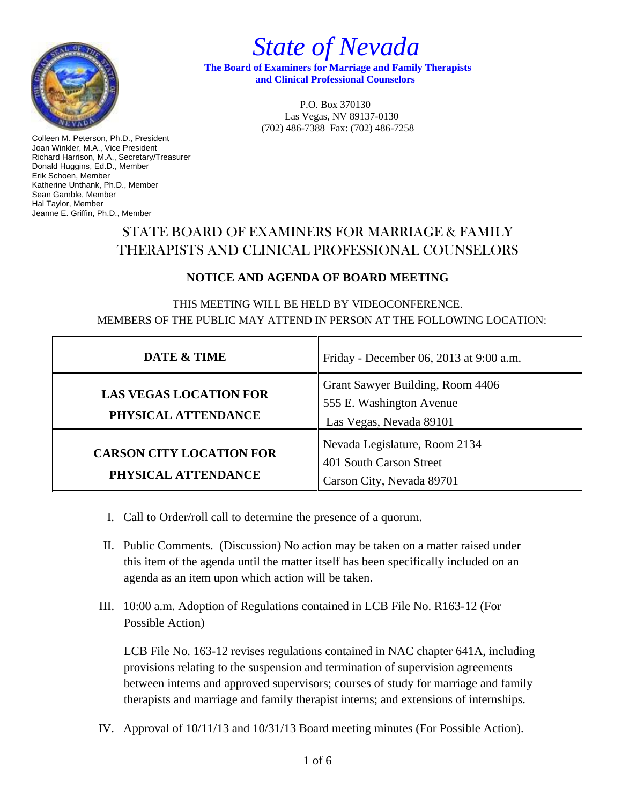

 *State of Nevada*

 **The Board of Examiners for Marriage and Family Therapists and Clinical Professional Counselors**

> P.O. Box 370130 Las Vegas, NV 89137-0130 (702) 486-7388 Fax: (702) 486-7258

Colleen M. Peterson, Ph.D., President Joan Winkler, M.A., Vice President Richard Harrison, M.A., Secretary/Treasurer Donald Huggins, Ed.D., Member Erik Schoen, Member Katherine Unthank, Ph.D., Member Sean Gamble, Member Hal Taylor, Member Jeanne E. Griffin, Ph.D., Member

## STATE BOARD OF EXAMINERS FOR MARRIAGE & FAMILY THERAPISTS AND CLINICAL PROFESSIONAL COUNSELORS

## **NOTICE AND AGENDA OF BOARD MEETING**

THIS MEETING WILL BE HELD BY VIDEOCONFERENCE. MEMBERS OF THE PUBLIC MAY ATTEND IN PERSON AT THE FOLLOWING LOCATION:

| DATE & TIME                                            | Friday - December 06, 2013 at 9:00 a.m.                                                 |
|--------------------------------------------------------|-----------------------------------------------------------------------------------------|
| <b>LAS VEGAS LOCATION FOR</b><br>PHYSICAL ATTENDANCE   | Grant Sawyer Building, Room 4406<br>555 E. Washington Avenue<br>Las Vegas, Nevada 89101 |
| <b>CARSON CITY LOCATION FOR</b><br>PHYSICAL ATTENDANCE | Nevada Legislature, Room 2134<br>401 South Carson Street<br>Carson City, Nevada 89701   |

- I. Call to Order/roll call to determine the presence of a quorum.
- II. Public Comments. (Discussion) No action may be taken on a matter raised under this item of the agenda until the matter itself has been specifically included on an agenda as an item upon which action will be taken.
- III. 10:00 a.m. Adoption of Regulations contained in LCB File No. R163-12 (For Possible Action)

LCB File No. 163-12 revises regulations contained in NAC chapter 641A, including provisions relating to the suspension and termination of supervision agreements between interns and approved supervisors; courses of study for marriage and family therapists and marriage and family therapist interns; and extensions of internships.

IV. Approval of 10/11/13 and 10/31/13 Board meeting minutes (For Possible Action).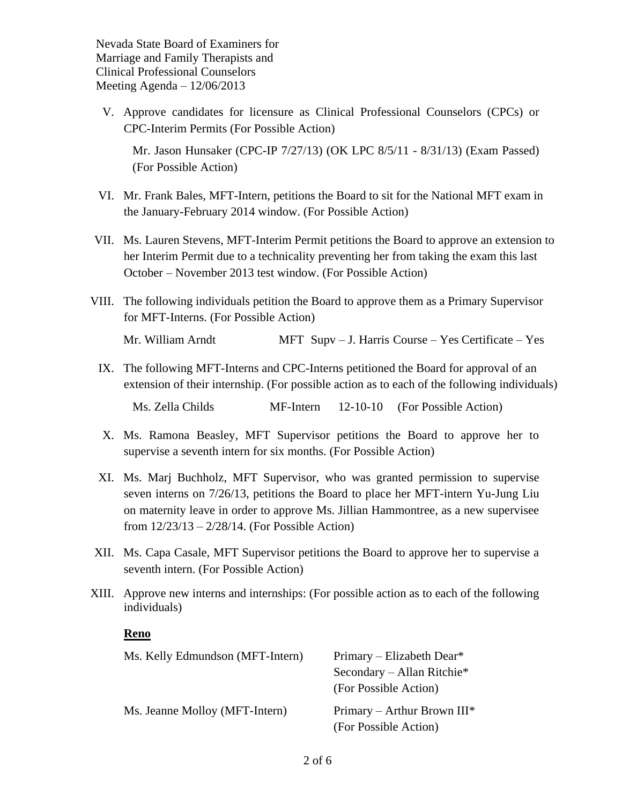V. Approve candidates for licensure as Clinical Professional Counselors (CPCs) or CPC-Interim Permits (For Possible Action)

Mr. Jason Hunsaker (CPC-IP 7/27/13) (OK LPC 8/5/11 - 8/31/13) (Exam Passed) (For Possible Action)

- VI. Mr. Frank Bales, MFT-Intern, petitions the Board to sit for the National MFT exam in the January-February 2014 window. (For Possible Action)
- VII. Ms. Lauren Stevens, MFT-Interim Permit petitions the Board to approve an extension to her Interim Permit due to a technicality preventing her from taking the exam this last October – November 2013 test window. (For Possible Action)
- VIII. The following individuals petition the Board to approve them as a Primary Supervisor for MFT-Interns. (For Possible Action)

Mr. William Arndt MFT Supv – J. Harris Course – Yes Certificate – Yes

- IX. The following MFT-Interns and CPC-Interns petitioned the Board for approval of an extension of their internship. (For possible action as to each of the following individuals) Ms. Zella Childs MF-Intern 12-10-10 (For Possible Action)
- X. Ms. Ramona Beasley, MFT Supervisor petitions the Board to approve her to supervise a seventh intern for six months. (For Possible Action)
- XI. Ms. Marj Buchholz, MFT Supervisor, who was granted permission to supervise seven interns on 7/26/13, petitions the Board to place her MFT-intern Yu-Jung Liu on maternity leave in order to approve Ms. Jillian Hammontree, as a new supervisee from 12/23/13 – 2/28/14. (For Possible Action)
- XII. Ms. Capa Casale, MFT Supervisor petitions the Board to approve her to supervise a seventh intern. (For Possible Action)
- XIII. Approve new interns and internships: (For possible action as to each of the following individuals)

## **Reno**

| Ms. Kelly Edmundson (MFT-Intern) | Primary – Elizabeth Dear*      |
|----------------------------------|--------------------------------|
|                                  | Secondary – Allan Ritchie*     |
|                                  | (For Possible Action)          |
| Ms. Jeanne Molloy (MFT-Intern)   | Primary – Arthur Brown $III^*$ |
|                                  | (For Possible Action)          |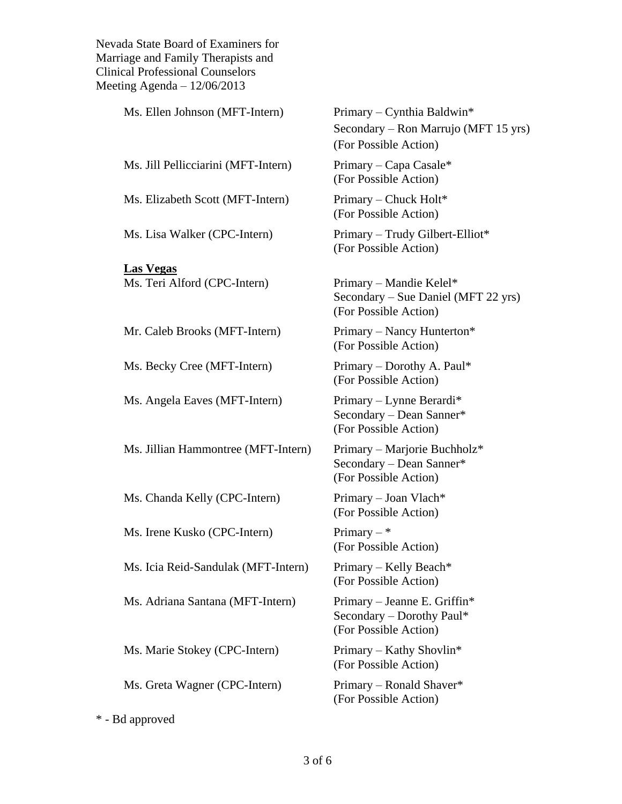| Ms. Ellen Johnson (MFT-Intern)      | Primary – Cynthia Baldwin*<br>Secondary – Ron Marrujo (MFT 15 yrs)<br>(For Possible Action) |
|-------------------------------------|---------------------------------------------------------------------------------------------|
| Ms. Jill Pellicciarini (MFT-Intern) | Primary – Capa Casale*<br>(For Possible Action)                                             |
| Ms. Elizabeth Scott (MFT-Intern)    | Primary – Chuck Holt*<br>(For Possible Action)                                              |
| Ms. Lisa Walker (CPC-Intern)        | Primary - Trudy Gilbert-Elliot*<br>(For Possible Action)                                    |
| <b>Las Vegas</b>                    |                                                                                             |
| Ms. Teri Alford (CPC-Intern)        | Primary – Mandie Kelel*<br>Secondary – Sue Daniel (MFT 22 yrs)<br>(For Possible Action)     |
| Mr. Caleb Brooks (MFT-Intern)       | Primary – Nancy Hunterton*<br>(For Possible Action)                                         |
| Ms. Becky Cree (MFT-Intern)         | Primary – Dorothy A. Paul*<br>(For Possible Action)                                         |
| Ms. Angela Eaves (MFT-Intern)       | Primary – Lynne Berardi*<br>Secondary - Dean Sanner*<br>(For Possible Action)               |
| Ms. Jillian Hammontree (MFT-Intern) | Primary – Marjorie Buchholz*<br>Secondary - Dean Sanner*<br>(For Possible Action)           |
| Ms. Chanda Kelly (CPC-Intern)       | Primary - Joan Vlach*<br>(For Possible Action)                                              |
| Ms. Irene Kusko (CPC-Intern)        | Primary $-$ *<br>(For Possible Action)                                                      |
| Ms. Icia Reid-Sandulak (MFT-Intern) | Primary - Kelly Beach*<br>(For Possible Action)                                             |
| Ms. Adriana Santana (MFT-Intern)    | Primary – Jeanne E. Griffin*<br>Secondary – Dorothy Paul*<br>(For Possible Action)          |
| Ms. Marie Stokey (CPC-Intern)       | Primary - Kathy Shovlin*<br>(For Possible Action)                                           |
| Ms. Greta Wagner (CPC-Intern)       | Primary – Ronald Shaver*<br>(For Possible Action)                                           |
| * - Bd approved                     |                                                                                             |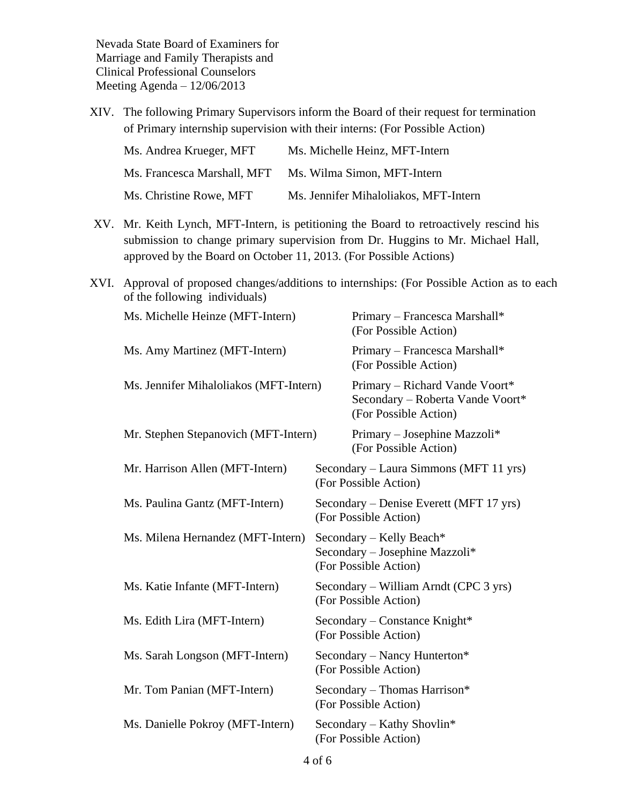XIV. The following Primary Supervisors inform the Board of their request for termination of Primary internship supervision with their interns: (For Possible Action)

| Ms. Andrea Krueger, MFT     | Ms. Michelle Heinz, MFT-Intern        |
|-----------------------------|---------------------------------------|
| Ms. Francesca Marshall, MFT | Ms. Wilma Simon, MFT-Intern           |
| Ms. Christine Rowe, MFT     | Ms. Jennifer Mihaloliakos, MFT-Intern |

- XV. Mr. Keith Lynch, MFT-Intern, is petitioning the Board to retroactively rescind his submission to change primary supervision from Dr. Huggins to Mr. Michael Hall, approved by the Board on October 11, 2013. (For Possible Actions)
- XVI. Approval of proposed changes/additions to internships: (For Possible Action as to each of the following individuals)

| Ms. Michelle Heinze (MFT-Intern)       | Primary - Francesca Marshall*<br>(For Possible Action)                                      |
|----------------------------------------|---------------------------------------------------------------------------------------------|
| Ms. Amy Martinez (MFT-Intern)          | Primary - Francesca Marshall*<br>(For Possible Action)                                      |
| Ms. Jennifer Mihaloliakos (MFT-Intern) | Primary – Richard Vande Voort*<br>Secondary - Roberta Vande Voort*<br>(For Possible Action) |
| Mr. Stephen Stepanovich (MFT-Intern)   | Primary – Josephine Mazzoli*<br>(For Possible Action)                                       |
| Mr. Harrison Allen (MFT-Intern)        | Secondary – Laura Simmons (MFT 11 yrs)<br>(For Possible Action)                             |
| Ms. Paulina Gantz (MFT-Intern)         | Secondary – Denise Everett (MFT 17 yrs)<br>(For Possible Action)                            |
| Ms. Milena Hernandez (MFT-Intern)      | Secondary – Kelly Beach*<br>Secondary - Josephine Mazzoli*<br>(For Possible Action)         |
| Ms. Katie Infante (MFT-Intern)         | Secondary – William Arndt (CPC 3 yrs)<br>(For Possible Action)                              |
| Ms. Edith Lira (MFT-Intern)            | Secondary – Constance Knight*<br>(For Possible Action)                                      |
| Ms. Sarah Longson (MFT-Intern)         | Secondary – Nancy Hunterton*<br>(For Possible Action)                                       |
| Mr. Tom Panian (MFT-Intern)            | Secondary - Thomas Harrison*<br>(For Possible Action)                                       |
| Ms. Danielle Pokroy (MFT-Intern)       | Secondary – Kathy Shovlin*<br>(For Possible Action)                                         |
|                                        |                                                                                             |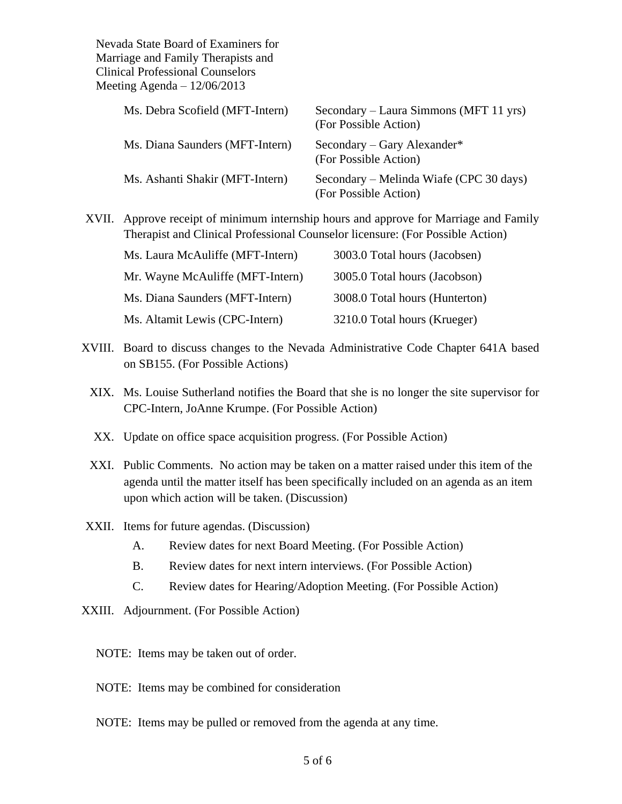| Ms. Debra Scofield (MFT-Intern) | Secondary – Laura Simmons (MFT 11 yrs)<br>(For Possible Action)  |
|---------------------------------|------------------------------------------------------------------|
| Ms. Diana Saunders (MFT-Intern) | Secondary – Gary Alexander*<br>(For Possible Action)             |
| Ms. Ashanti Shakir (MFT-Intern) | Secondary – Melinda Wiafe (CPC 30 days)<br>(For Possible Action) |

XVII. Approve receipt of minimum internship hours and approve for Marriage and Family Therapist and Clinical Professional Counselor licensure: (For Possible Action)

| Ms. Laura McAuliffe (MFT-Intern) | 3003.0 Total hours (Jacobsen)  |
|----------------------------------|--------------------------------|
| Mr. Wayne McAuliffe (MFT-Intern) | 3005.0 Total hours (Jacobson)  |
| Ms. Diana Saunders (MFT-Intern)  | 3008.0 Total hours (Hunterton) |
| Ms. Altamit Lewis (CPC-Intern)   | 3210.0 Total hours (Krueger)   |

- XVIII. Board to discuss changes to the Nevada Administrative Code Chapter 641A based on SB155. (For Possible Actions)
	- XIX. Ms. Louise Sutherland notifies the Board that she is no longer the site supervisor for CPC-Intern, JoAnne Krumpe. (For Possible Action)
	- XX. Update on office space acquisition progress. (For Possible Action)
	- XXI. Public Comments. No action may be taken on a matter raised under this item of the agenda until the matter itself has been specifically included on an agenda as an item upon which action will be taken. (Discussion)
- XXII. Items for future agendas. (Discussion)
	- A. Review dates for next Board Meeting. (For Possible Action)
	- B. Review dates for next intern interviews. (For Possible Action)
	- C. Review dates for Hearing/Adoption Meeting. (For Possible Action)
- XXIII. Adjournment. (For Possible Action)

NOTE: Items may be taken out of order.

- NOTE: Items may be combined for consideration
- NOTE: Items may be pulled or removed from the agenda at any time.